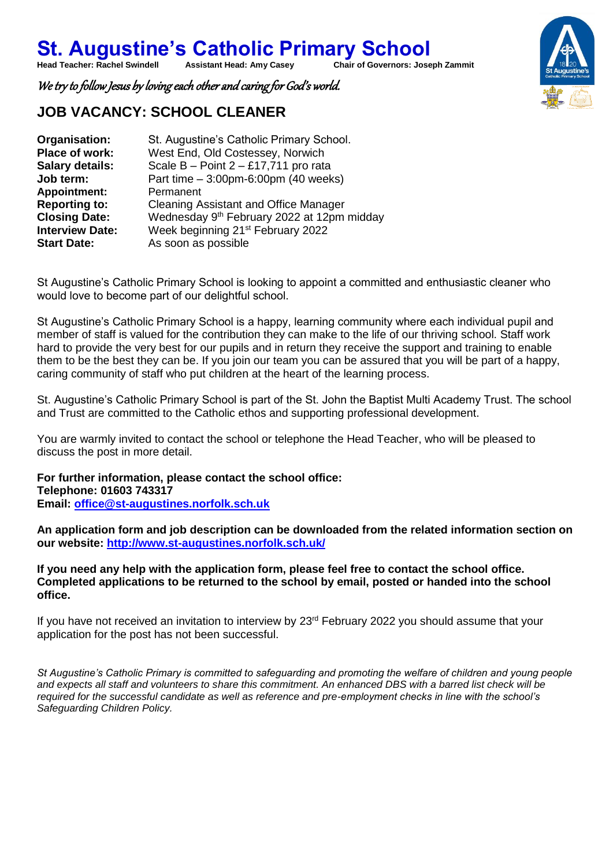**St. Augustine's Catholic Primary School**<br>Head Teacher: Rachel Swindell Assistant Head: Amy Casey Chair of Governors: Jose **Chair of Governors: Joseph Zammit** 

We try to follow Jesus by loving each other and caring for God's world.

## **JOB VACANCY: SCHOOL CLEANER**

| Organisation:          | St. Augustine's Catholic Primary School.               |  |  |
|------------------------|--------------------------------------------------------|--|--|
| Place of work:         | West End, Old Costessey, Norwich                       |  |  |
| <b>Salary details:</b> | Scale $B - Point 2 - £17,711$ pro rata                 |  |  |
| Job term:              | Part time $-3:00$ pm-6:00pm (40 weeks)                 |  |  |
| <b>Appointment:</b>    | Permanent                                              |  |  |
| <b>Reporting to:</b>   | <b>Cleaning Assistant and Office Manager</b>           |  |  |
| <b>Closing Date:</b>   | Wednesday 9 <sup>th</sup> February 2022 at 12pm midday |  |  |
| <b>Interview Date:</b> | Week beginning 21 <sup>st</sup> February 2022          |  |  |
| <b>Start Date:</b>     | As soon as possible                                    |  |  |

St Augustine's Catholic Primary School is looking to appoint a committed and enthusiastic cleaner who would love to become part of our delightful school. 

St Augustine's Catholic Primary School is a happy, learning community where each individual pupil and member of staff is valued for the contribution they can make to the life of our thriving school. Staff work hard to provide the very best for our pupils and in return they receive the support and training to enable them to be the best they can be. If you join our team you can be assured that you will be part of a happy, caring community of staff who put children at the heart of the learning process.

St. Augustine's Catholic Primary School is part of the St. John the Baptist Multi Academy Trust. The school and Trust are committed to the Catholic ethos and supporting professional development.

You are warmly invited to contact the school or telephone the Head Teacher, who will be pleased to discuss the post in more detail.

**For further information, please contact the school office: Telephone: 01603 743317 Email: [office@st-augustines.norfolk.sch.uk](mailto:office@st-augustines.norfolk.sch.uk)**

**An application form and job description can be downloaded from the related information section on our website:<http://www.st-augustines.norfolk.sch.uk/>**

**If you need any help with the application form, please feel free to contact the school office. Completed applications to be returned to the school by email, posted or handed into the school office.**

If you have not received an invitation to interview by 23<sup>rd</sup> February 2022 you should assume that your application for the post has not been successful.

*St Augustine's Catholic Primary is committed to safeguarding and promoting the welfare of children and young people and expects all staff and volunteers to share this commitment. An enhanced DBS with a barred list check will be required for the successful candidate as well as reference and pre-employment checks in line with the school's Safeguarding Children Policy.*

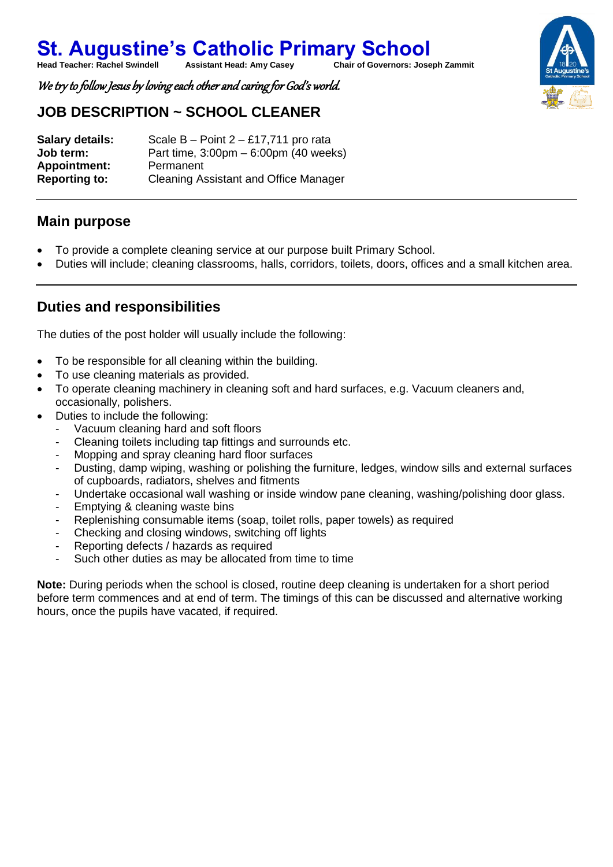**St. Augustine's Catholic Primary School**<br>Head Teacher: Rachel Swindell Assistant Head: Amy Casey Chair of Governors: Jose **Chair of Governors: Joseph Zammit** 

We try to follow Jesus by loving each other and caring for God's world.

## **JOB DESCRIPTION ~ SCHOOL CLEANER**

**Salary details:** Scale B – Point 2 – £17,711 pro rata **Job term:** Part time, 3:00pm – 6:00pm (40 weeks) **Appointment:** Permanent **Reporting to:** Cleaning Assistant and Office Manager

#### **Main purpose**

- To provide a complete cleaning service at our purpose built Primary School.
- Duties will include; cleaning classrooms, halls, corridors, toilets, doors, offices and a small kitchen area.

## **Duties and responsibilities**

The duties of the post holder will usually include the following:

- To be responsible for all cleaning within the building.
- To use cleaning materials as provided.
- To operate cleaning machinery in cleaning soft and hard surfaces, e.g. Vacuum cleaners and, occasionally, polishers.
- Duties to include the following:
	- Vacuum cleaning hard and soft floors
	- Cleaning toilets including tap fittings and surrounds etc.
	- Mopping and spray cleaning hard floor surfaces
	- Dusting, damp wiping, washing or polishing the furniture, ledges, window sills and external surfaces of cupboards, radiators, shelves and fitments
	- Undertake occasional wall washing or inside window pane cleaning, washing/polishing door glass.
	- Emptying & cleaning waste bins
	- Replenishing consumable items (soap, toilet rolls, paper towels) as required
	- Checking and closing windows, switching off lights
	- Reporting defects / hazards as required
	- Such other duties as may be allocated from time to time

**Note:** During periods when the school is closed, routine deep cleaning is undertaken for a short period before term commences and at end of term. The timings of this can be discussed and alternative working hours, once the pupils have vacated, if required.